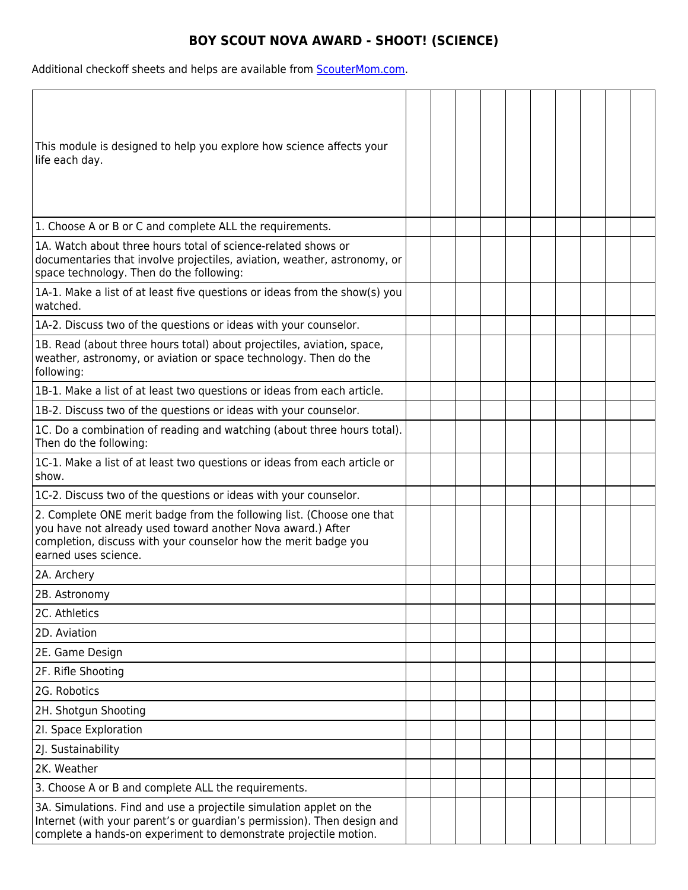## **BOY SCOUT NOVA AWARD - SHOOT! (SCIENCE)**

Additional checkoff sheets and helps are available from **ScouterMom.com**.

| This module is designed to help you explore how science affects your<br>life each day.                                                                                                                                          |  |  |  |  |  |
|---------------------------------------------------------------------------------------------------------------------------------------------------------------------------------------------------------------------------------|--|--|--|--|--|
| 1. Choose A or B or C and complete ALL the requirements.                                                                                                                                                                        |  |  |  |  |  |
| 1A. Watch about three hours total of science-related shows or<br>documentaries that involve projectiles, aviation, weather, astronomy, or<br>space technology. Then do the following:                                           |  |  |  |  |  |
| 1A-1. Make a list of at least five questions or ideas from the show(s) you<br>watched.                                                                                                                                          |  |  |  |  |  |
| 1A-2. Discuss two of the questions or ideas with your counselor.                                                                                                                                                                |  |  |  |  |  |
| 1B. Read (about three hours total) about projectiles, aviation, space,<br>weather, astronomy, or aviation or space technology. Then do the<br>following:                                                                        |  |  |  |  |  |
| 1B-1. Make a list of at least two questions or ideas from each article.                                                                                                                                                         |  |  |  |  |  |
| 1B-2. Discuss two of the questions or ideas with your counselor.                                                                                                                                                                |  |  |  |  |  |
| 1C. Do a combination of reading and watching (about three hours total).<br>Then do the following:                                                                                                                               |  |  |  |  |  |
| 1C-1. Make a list of at least two questions or ideas from each article or<br>show.                                                                                                                                              |  |  |  |  |  |
| 1C-2. Discuss two of the questions or ideas with your counselor.                                                                                                                                                                |  |  |  |  |  |
| 2. Complete ONE merit badge from the following list. (Choose one that<br>you have not already used toward another Nova award.) After<br>completion, discuss with your counselor how the merit badge you<br>earned uses science. |  |  |  |  |  |
| 2A. Archery                                                                                                                                                                                                                     |  |  |  |  |  |
| 2B. Astronomy                                                                                                                                                                                                                   |  |  |  |  |  |
| 2C. Athletics                                                                                                                                                                                                                   |  |  |  |  |  |
| 2D. Aviation                                                                                                                                                                                                                    |  |  |  |  |  |
| 2E. Game Design                                                                                                                                                                                                                 |  |  |  |  |  |
| 2F. Rifle Shooting                                                                                                                                                                                                              |  |  |  |  |  |
| 2G. Robotics                                                                                                                                                                                                                    |  |  |  |  |  |
| 2H. Shotgun Shooting                                                                                                                                                                                                            |  |  |  |  |  |
| 2I. Space Exploration                                                                                                                                                                                                           |  |  |  |  |  |
| 2J. Sustainability                                                                                                                                                                                                              |  |  |  |  |  |
| 2K. Weather                                                                                                                                                                                                                     |  |  |  |  |  |
| 3. Choose A or B and complete ALL the requirements.                                                                                                                                                                             |  |  |  |  |  |
| 3A. Simulations. Find and use a projectile simulation applet on the<br>Internet (with your parent's or guardian's permission). Then design and<br>complete a hands-on experiment to demonstrate projectile motion.              |  |  |  |  |  |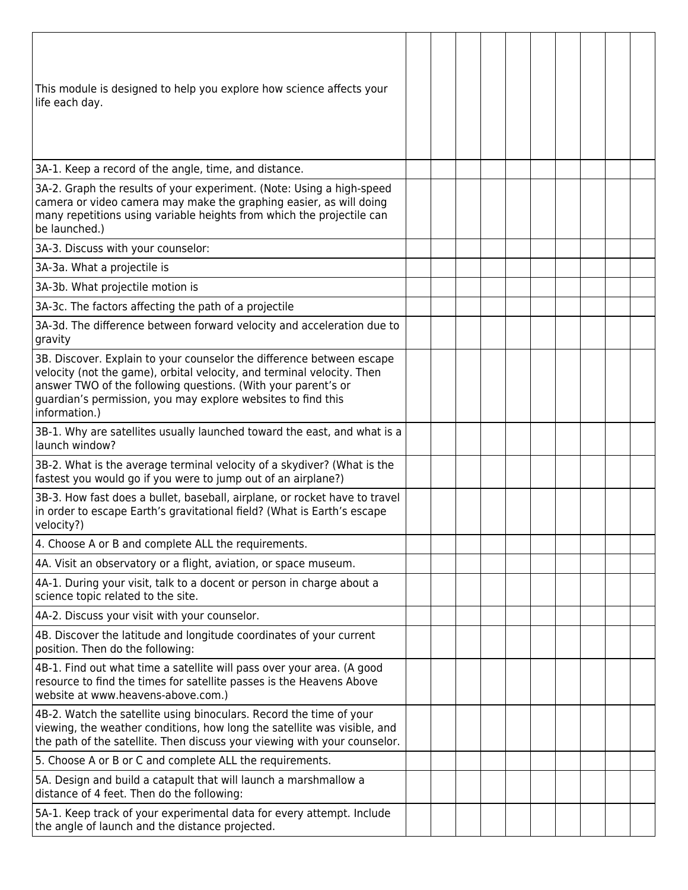| This module is designed to help you explore how science affects your<br>life each day.                                                                                                                                                                                                            |  |  |  |  |  |
|---------------------------------------------------------------------------------------------------------------------------------------------------------------------------------------------------------------------------------------------------------------------------------------------------|--|--|--|--|--|
| 3A-1. Keep a record of the angle, time, and distance.                                                                                                                                                                                                                                             |  |  |  |  |  |
| 3A-2. Graph the results of your experiment. (Note: Using a high-speed<br>camera or video camera may make the graphing easier, as will doing<br>many repetitions using variable heights from which the projectile can<br>be launched.)                                                             |  |  |  |  |  |
| 3A-3. Discuss with your counselor:                                                                                                                                                                                                                                                                |  |  |  |  |  |
| 3A-3a. What a projectile is                                                                                                                                                                                                                                                                       |  |  |  |  |  |
| 3A-3b. What projectile motion is                                                                                                                                                                                                                                                                  |  |  |  |  |  |
| 3A-3c. The factors affecting the path of a projectile                                                                                                                                                                                                                                             |  |  |  |  |  |
| 3A-3d. The difference between forward velocity and acceleration due to<br>gravity                                                                                                                                                                                                                 |  |  |  |  |  |
| 3B. Discover. Explain to your counselor the difference between escape<br>velocity (not the game), orbital velocity, and terminal velocity. Then<br>answer TWO of the following questions. (With your parent's or<br>guardian's permission, you may explore websites to find this<br>information.) |  |  |  |  |  |
| 3B-1. Why are satellites usually launched toward the east, and what is a<br>launch window?                                                                                                                                                                                                        |  |  |  |  |  |
| 3B-2. What is the average terminal velocity of a skydiver? (What is the<br>fastest you would go if you were to jump out of an airplane?)                                                                                                                                                          |  |  |  |  |  |
| 3B-3. How fast does a bullet, baseball, airplane, or rocket have to travel<br>in order to escape Earth's gravitational field? (What is Earth's escape<br>velocity?)                                                                                                                               |  |  |  |  |  |
| 4. Choose A or B and complete ALL the requirements.                                                                                                                                                                                                                                               |  |  |  |  |  |
| 4A. Visit an observatory or a flight, aviation, or space museum.                                                                                                                                                                                                                                  |  |  |  |  |  |
| 4A-1. During your visit, talk to a docent or person in charge about a<br>science topic related to the site.                                                                                                                                                                                       |  |  |  |  |  |
| 4A-2. Discuss your visit with your counselor.                                                                                                                                                                                                                                                     |  |  |  |  |  |
| 4B. Discover the latitude and longitude coordinates of your current<br>position. Then do the following:                                                                                                                                                                                           |  |  |  |  |  |
| 4B-1. Find out what time a satellite will pass over your area. (A good<br>resource to find the times for satellite passes is the Heavens Above<br>website at www.heavens-above.com.)                                                                                                              |  |  |  |  |  |
| 4B-2. Watch the satellite using binoculars. Record the time of your<br>viewing, the weather conditions, how long the satellite was visible, and<br>the path of the satellite. Then discuss your viewing with your counselor.                                                                      |  |  |  |  |  |
| 5. Choose A or B or C and complete ALL the requirements.                                                                                                                                                                                                                                          |  |  |  |  |  |
| 5A. Design and build a catapult that will launch a marshmallow a<br>distance of 4 feet. Then do the following:                                                                                                                                                                                    |  |  |  |  |  |
| 5A-1. Keep track of your experimental data for every attempt. Include<br>the angle of launch and the distance projected.                                                                                                                                                                          |  |  |  |  |  |